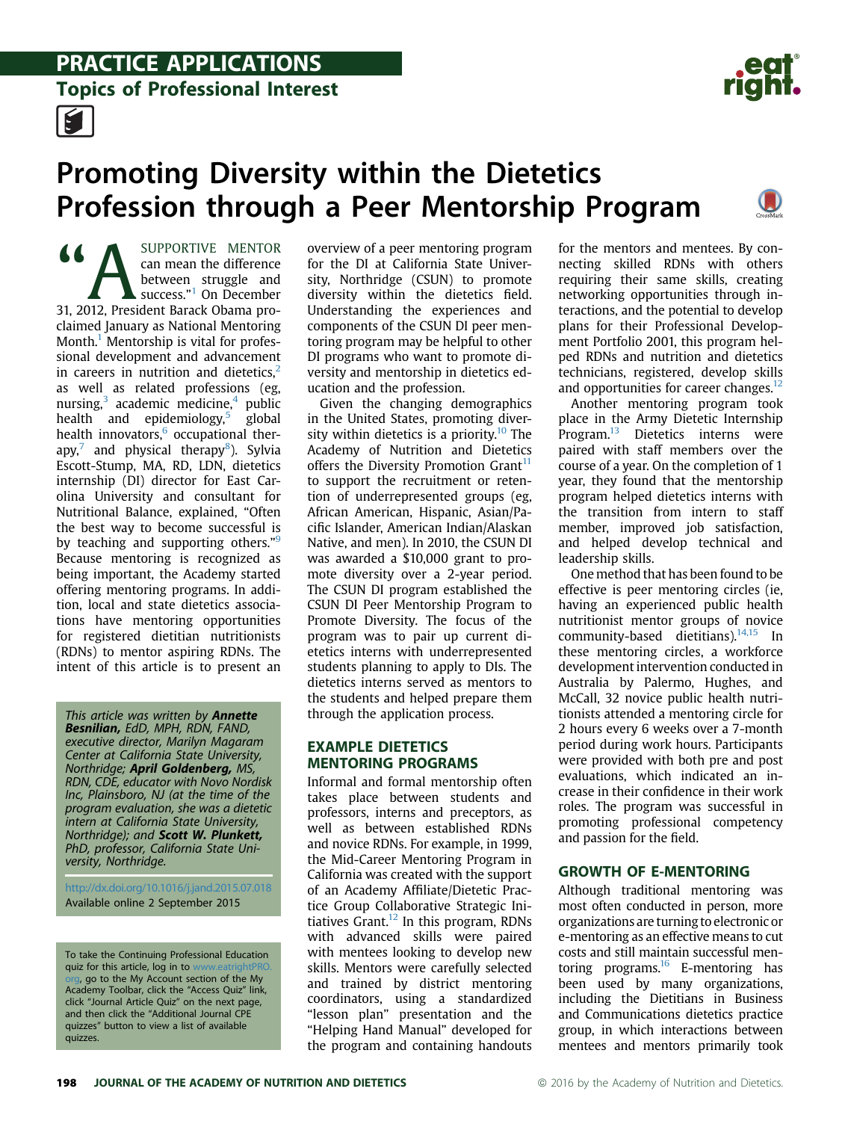## **PRACTICE APPLICATIONS**<br>Topics of Professional Interest



# Promoting Diversity within the Dietetics



This article was written by **Annette** Besnilian, EdD, MPH, RDN, FAND, executive director, Marilyn Magaram Center at California State University, Northridge; **April Goldenberg,** MS, RDN, CDE, educator with Novo Nordisk Inc, Plainsboro, NJ (at the time of the program evaluation, she was a dietetic intern at California State University, Northridge); and Scott W. Plunkett, PhD, professor, California State University, Northridge.

<http://dx.doi.org/10.1016/j.jand.2015.07.018> Available online 2 September 2015

To take the Continuing Professional Education quiz for this article, log in to ww [org,](http://www.eatrightPRO.org) go to the My Account section of the My Academy Toolbar, click the "Access Quiz" link, click "Journal Article Quiz" on the next page, and then click the "Additional Journal CPE quizzes" button to view a list of available quizzes.

overview of a peer mentoring program for the DI at California State University, Northridge (CSUN) to promote diversity within the dietetics field. Understanding the experiences and components of the CSUN DI peer mentoring program may be helpful to other DI programs who want to promote diversity and mentorship in dietetics education and the profession.

Given the changing demographics in the United States, promoting diversity within dietetics is a priority.<sup>10</sup> The Academy of Nutrition and Dietetics offers the Diversity Promotion Grant<sup>11</sup> to support the recruitment or retention of underrepresented groups (eg, African American, Hispanic, Asian/Pacific Islander, American Indian/Alaskan Native, and men). In 2010, the CSUN DI was awarded a \$10,000 grant to promote diversity over a 2-year period. The CSUN DI program established the CSUN DI Peer Mentorship Program to Promote Diversity. The focus of the program was to pair up current dietetics interns with underrepresented students planning to apply to DIs. The dietetics interns served as mentors to the students and helped prepare them through the application process.

## EXAMPLE DIETETICS<br>MENTORING PROGRAMS

Informal and formal mentorship often takes place between students and professors, interns and preceptors, as well as between established RDNs and novice RDNs. For example, in 1999, the Mid-Career Mentoring Program in California was created with the support of an Academy Affiliate/Dietetic Practice Group Collaborative Strategic Initiatives Grant. $12$  In this program, RDNs with advanced skills were paired with mentees looking to develop new skills. Mentors were carefully selected and trained by district mentoring coordinators, using a standardized "lesson plan" presentation and the "Helping Hand Manual" developed for the program and containing handouts for the mentors and mentees. By connecting skilled RDNs with others requiring their same skills, creating networking opportunities through interactions, and the potential to develop plans for their Professional Development Portfolio 2001, this program helped RDNs and nutrition and dietetics technicians, registered, develop skills and opportunities for career changes. $12$ 

Another mentoring program took place in the Army Dietetic Internship Program.<sup>[13](#page-4-0)</sup> Dietetics interns were paired with staff members over the course of a year. On the completion of 1 year, they found that the mentorship program helped dietetics interns with the transition from intern to staff member, improved job satisfaction, and helped develop technical and leadership skills.

One method that has been found to be effective is peer mentoring circles (ie, having an experienced public health nutritionist mentor groups of novice community-based dietitians). $14,15$  In these mentoring circles, a workforce development intervention conducted in Australia by Palermo, Hughes, and McCall, 32 novice public health nutritionists attended a mentoring circle for 2 hours every 6 weeks over a 7-month period during work hours. Participants were provided with both pre and post evaluations, which indicated an increase in their confidence in their work roles. The program was successful in promoting professional competency and passion for the field.

GROWTH OF E-MENTORING Although traditional mentoring was most often conducted in person, more organizations are turning to electronic or e-mentoring as an effective means to cut costs and still maintain successful mentoring programs. $16$  E-mentoring has been used by many organizations, including the Dietitians in Business and Communications dietetics practice group, in which interactions between mentees and mentors primarily took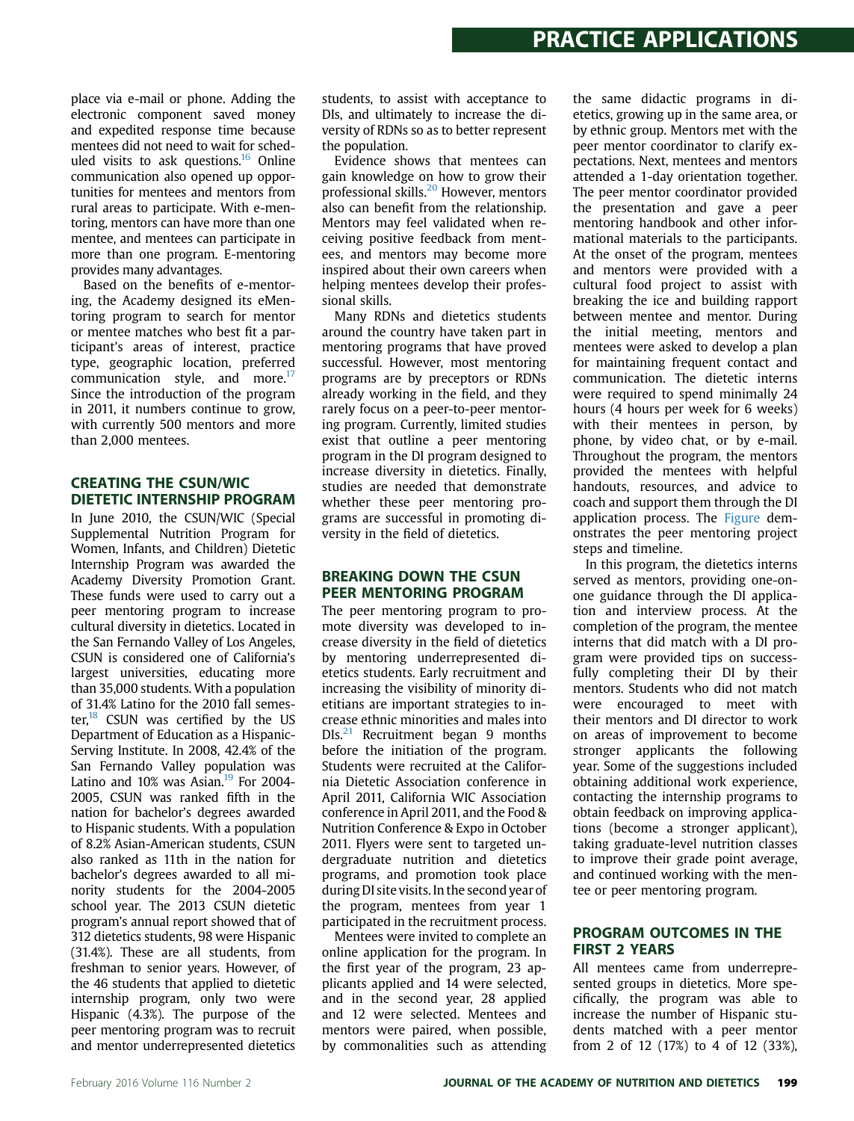place via e-mail or phone. Adding the electronic component saved money and expedited response time because mentees did not need to wait for sched-uled visits to ask questions.<sup>[16](#page-4-0)</sup> Online communication also opened up opportunities for mentees and mentors from rural areas to participate. With e-mentoring, mentors can have more than one mentee, and mentees can participate in more than one program. E-mentoring provides many advantages.

Based on the benefits of e-mentoring, the Academy designed its eMentoring program to search for mentor or mentee matches who best fit a participant's areas of interest, practice type, geographic location, preferred communication style, and more. $^{17}$ Since the introduction of the program in 2011, it numbers continue to grow, with currently 500 mentors and more than 2,000 mentees.

## **CREATING THE CSUN/WIC** DIETETIC INTERNSHIP PROGRAM

In June 2010, the CSUN/WIC (Special Supplemental Nutrition Program for Women, Infants, and Children) Dietetic Internship Program was awarded the Academy Diversity Promotion Grant. These funds were used to carry out a peer mentoring program to increase cultural diversity in dietetics. Located in the San Fernando Valley of Los Angeles, CSUN is considered one of California's largest universities, educating more than 35,000 students. With a population of 31.4% Latino for the 2010 fall semester, $18$  CSUN was certified by the US Department of Education as a Hispanic-Serving Institute. In 2008, 42.4% of the San Fernando Valley population was Latino and  $10\%$  was Asian.<sup>19</sup> For 2004-2005, CSUN was ranked fifth in the nation for bachelor's degrees awarded to Hispanic students. With a population of 8.2% Asian-American students, CSUN also ranked as 11th in the nation for bachelor's degrees awarded to all minority students for the 2004-2005 school year. The 2013 CSUN dietetic program's annual report showed that of 312 dietetics students, 98 were Hispanic (31.4%). These are all students, from freshman to senior years. However, of the 46 students that applied to dietetic internship program, only two were Hispanic (4.3%). The purpose of the peer mentoring program was to recruit and mentor underrepresented dietetics

students, to assist with acceptance to DIs, and ultimately to increase the diversity of RDNs so as to better represent the population.

Evidence shows that mentees can gain knowledge on how to grow their professional skills.[20](#page-4-0) However, mentors also can benefit from the relationship. Mentors may feel validated when receiving positive feedback from mentees, and mentors may become more inspired about their own careers when helping mentees develop their professional skills.

Many RDNs and dietetics students around the country have taken part in mentoring programs that have proved successful. However, most mentoring programs are by preceptors or RDNs already working in the field, and they rarely focus on a peer-to-peer mentoring program. Currently, limited studies exist that outline a peer mentoring program in the DI program designed to increase diversity in dietetics. Finally, studies are needed that demonstrate whether these peer mentoring programs are successful in promoting diversity in the field of dietetics.

## **BREAKING DOWN THE CSUN** PEER MENTORING PROGRAM

PEER MENTORING PROGRAM The peer mentoring program to promote diversity was developed to increase diversity in the field of dietetics by mentoring underrepresented dietetics students. Early recruitment and increasing the visibility of minority dietitians are important strategies to increase ethnic minorities and males into  $DIS<sup>21</sup>$  Recruitment began 9 months before the initiation of the program. Students were recruited at the California Dietetic Association conference in April 2011, California WIC Association conference in April 2011, and the Food & Nutrition Conference & Expo in October 2011. Flyers were sent to targeted undergraduate nutrition and dietetics programs, and promotion took place during DI site visits. In the second year of the program, mentees from year 1 participated in the recruitment process.

Mentees were invited to complete an online application for the program. In the first year of the program, 23 applicants applied and 14 were selected, and in the second year, 28 applied and 12 were selected. Mentees and mentors were paired, when possible, by commonalities such as attending

the same didactic programs in dietetics, growing up in the same area, or by ethnic group. Mentors met with the peer mentor coordinator to clarify expectations. Next, mentees and mentors attended a 1-day orientation together. The peer mentor coordinator provided the presentation and gave a peer mentoring handbook and other informational materials to the participants. At the onset of the program, mentees and mentors were provided with a cultural food project to assist with breaking the ice and building rapport between mentee and mentor. During the initial meeting, mentors and mentees were asked to develop a plan for maintaining frequent contact and communication. The dietetic interns were required to spend minimally 24 hours (4 hours per week for 6 weeks) with their mentees in person, by phone, by video chat, or by e-mail. Throughout the program, the mentors provided the mentees with helpful handouts, resources, and advice to coach and support them through the DI application process. The [Figure](#page-2-0) demonstrates the peer mentoring project steps and timeline.

In this program, the dietetics interns served as mentors, providing one-onone guidance through the DI application and interview process. At the completion of the program, the mentee interns that did match with a DI program were provided tips on successfully completing their DI by their mentors. Students who did not match were encouraged to meet with their mentors and DI director to work on areas of improvement to become stronger applicants the following year. Some of the suggestions included obtaining additional work experience, contacting the internship programs to obtain feedback on improving applications (become a stronger applicant), taking graduate-level nutrition classes to improve their grade point average, and continued working with the mentee or peer mentoring program.

## PROGRAM OUTCOMES IN THE FIRST 2 YEARS

All mentees came from underrepresented groups in dietetics. More specifically, the program was able to increase the number of Hispanic students matched with a peer mentor from 2 of 12 (17%) to 4 of 12 (33%),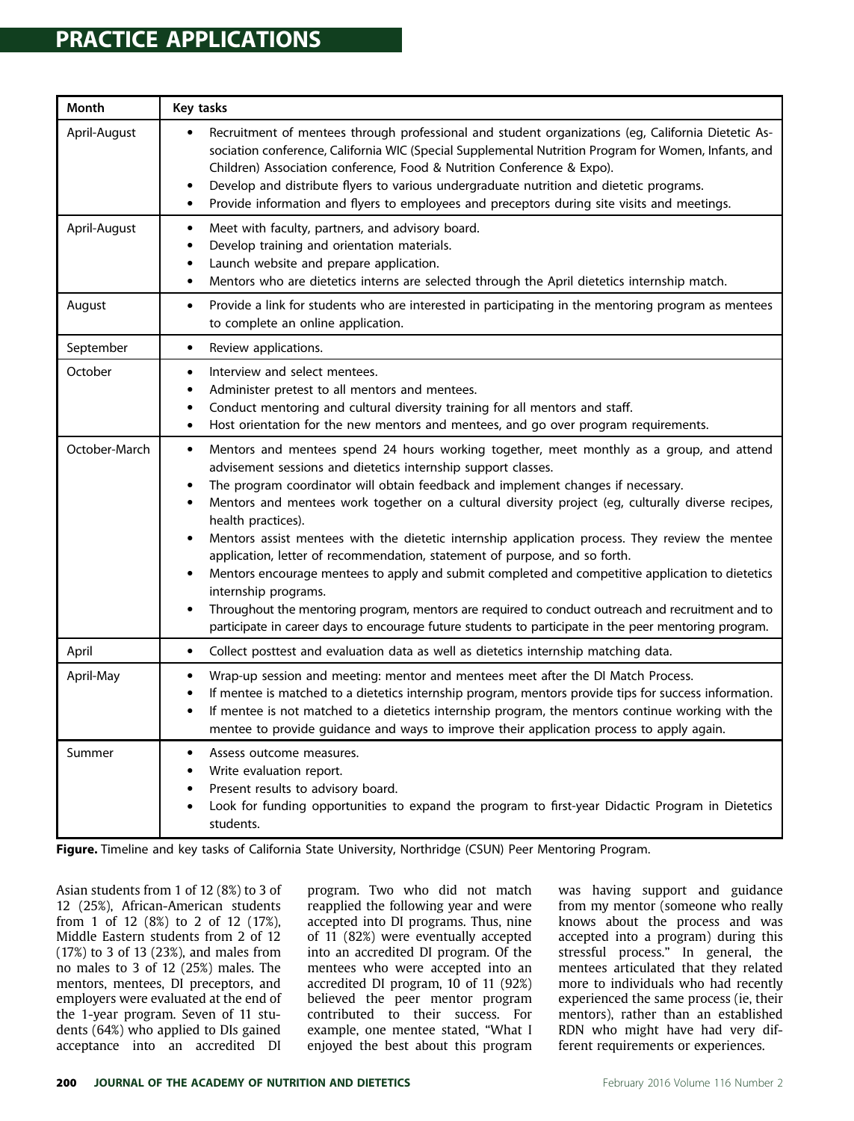## <span id="page-2-0"></span>**PRACTICE APPLICATIONS** PRACTICE APPLICATIONS

| Month         | Key tasks                                                                                                                                                                                                                                                                                                                                                                                                                                                                                                                                                                                                                                                                                                                                                                                                                                                                                                                                   |
|---------------|---------------------------------------------------------------------------------------------------------------------------------------------------------------------------------------------------------------------------------------------------------------------------------------------------------------------------------------------------------------------------------------------------------------------------------------------------------------------------------------------------------------------------------------------------------------------------------------------------------------------------------------------------------------------------------------------------------------------------------------------------------------------------------------------------------------------------------------------------------------------------------------------------------------------------------------------|
| April-August  | Recruitment of mentees through professional and student organizations (eg, California Dietetic As-<br>sociation conference, California WIC (Special Supplemental Nutrition Program for Women, Infants, and<br>Children) Association conference, Food & Nutrition Conference & Expo).<br>Develop and distribute flyers to various undergraduate nutrition and dietetic programs.<br>Provide information and flyers to employees and preceptors during site visits and meetings.<br>$\bullet$                                                                                                                                                                                                                                                                                                                                                                                                                                                 |
| April-August  | Meet with faculty, partners, and advisory board.<br>$\bullet$<br>Develop training and orientation materials.<br>$\bullet$<br>Launch website and prepare application.<br>$\bullet$<br>Mentors who are dietetics interns are selected through the April dietetics internship match.<br>$\bullet$                                                                                                                                                                                                                                                                                                                                                                                                                                                                                                                                                                                                                                              |
| August        | Provide a link for students who are interested in participating in the mentoring program as mentees<br>$\bullet$<br>to complete an online application.                                                                                                                                                                                                                                                                                                                                                                                                                                                                                                                                                                                                                                                                                                                                                                                      |
| September     | Review applications.<br>$\bullet$                                                                                                                                                                                                                                                                                                                                                                                                                                                                                                                                                                                                                                                                                                                                                                                                                                                                                                           |
| October       | Interview and select mentees.<br>$\bullet$<br>Administer pretest to all mentors and mentees.<br>$\bullet$<br>Conduct mentoring and cultural diversity training for all mentors and staff.<br>$\bullet$<br>Host orientation for the new mentors and mentees, and go over program requirements.<br>٠                                                                                                                                                                                                                                                                                                                                                                                                                                                                                                                                                                                                                                          |
| October-March | Mentors and mentees spend 24 hours working together, meet monthly as a group, and attend<br>$\bullet$<br>advisement sessions and dietetics internship support classes.<br>The program coordinator will obtain feedback and implement changes if necessary.<br>$\bullet$<br>Mentors and mentees work together on a cultural diversity project (eg, culturally diverse recipes,<br>health practices).<br>Mentors assist mentees with the dietetic internship application process. They review the mentee<br>$\bullet$<br>application, letter of recommendation, statement of purpose, and so forth.<br>Mentors encourage mentees to apply and submit completed and competitive application to dietetics<br>internship programs.<br>Throughout the mentoring program, mentors are required to conduct outreach and recruitment and to<br>participate in career days to encourage future students to participate in the peer mentoring program. |
| April         | Collect posttest and evaluation data as well as dietetics internship matching data.<br>$\bullet$                                                                                                                                                                                                                                                                                                                                                                                                                                                                                                                                                                                                                                                                                                                                                                                                                                            |
| April-May     | Wrap-up session and meeting: mentor and mentees meet after the DI Match Process.<br>$\bullet$<br>If mentee is matched to a dietetics internship program, mentors provide tips for success information.<br>$\bullet$<br>If mentee is not matched to a dietetics internship program, the mentors continue working with the<br>٠<br>mentee to provide guidance and ways to improve their application process to apply again.                                                                                                                                                                                                                                                                                                                                                                                                                                                                                                                   |
| Summer        | Assess outcome measures.<br>$\bullet$<br>Write evaluation report.<br>$\bullet$<br>Present results to advisory board.<br>$\bullet$<br>Look for funding opportunities to expand the program to first-year Didactic Program in Dietetics<br>students.                                                                                                                                                                                                                                                                                                                                                                                                                                                                                                                                                                                                                                                                                          |

Figure. Timeline and key tasks of California State University, Northridge (CSUN) Peer Mentoring Program.

Asian students from 1 of 12 (8%) to 3 of 12 (25%), African-American students from 1 of 12 (8%) to 2 of 12 (17%), Middle Eastern students from 2 of 12 (17%) to 3 of 13 (23%), and males from no males to 3 of 12 (25%) males. The mentors, mentees, DI preceptors, and employers were evaluated at the end of the 1-year program. Seven of 11 students (64%) who applied to DIs gained acceptance into an accredited DI

program. Two who did not match reapplied the following year and were accepted into DI programs. Thus, nine of 11 (82%) were eventually accepted into an accredited DI program. Of the mentees who were accepted into an accredited DI program, 10 of 11 (92%) believed the peer mentor program contributed to their success. For example, one mentee stated, "What I enjoyed the best about this program was having support and guidance from my mentor (someone who really knows about the process and was accepted into a program) during this stressful process." In general, the mentees articulated that they related more to individuals who had recently experienced the same process (ie, their mentors), rather than an established RDN who might have had very different requirements or experiences.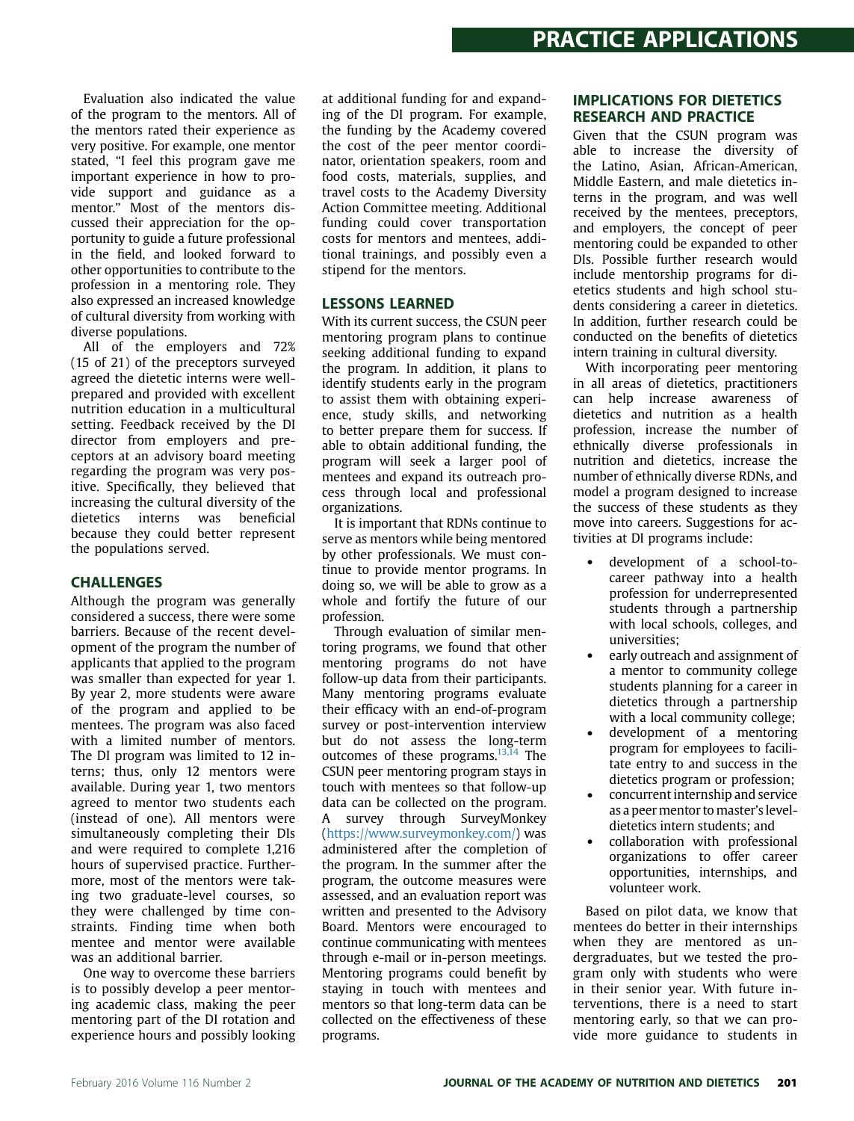Evaluation also indicated the value of the program to the mentors. All of the mentors rated their experience as very positive. For example, one mentor stated, "I feel this program gave me important experience in how to provide support and guidance as a mentor." Most of the mentors discussed their appreciation for the opportunity to guide a future professional in the field, and looked forward to other opportunities to contribute to the profession in a mentoring role. They also expressed an increased knowledge of cultural diversity from working with diverse populations.

All of the employers and 72% (15 of 21) of the preceptors surveyed agreed the dietetic interns were wellprepared and provided with excellent nutrition education in a multicultural setting. Feedback received by the DI director from employers and preceptors at an advisory board meeting regarding the program was very positive. Specifically, they believed that increasing the cultural diversity of the dietetics interns was beneficial because they could better represent the populations served.

en<br>Although the program was generally considered a success, there were some barriers. Because of the recent development of the program the number of applicants that applied to the program was smaller than expected for year 1. By year 2, more students were aware of the program and applied to be mentees. The program was also faced with a limited number of mentors. The DI program was limited to 12 interns; thus, only 12 mentors were available. During year 1, two mentors agreed to mentor two students each (instead of one). All mentors were simultaneously completing their DIs and were required to complete 1,216 hours of supervised practice. Furthermore, most of the mentors were taking two graduate-level courses, so they were challenged by time constraints. Finding time when both mentee and mentor were available was an additional barrier.

One way to overcome these barriers is to possibly develop a peer mentoring academic class, making the peer mentoring part of the DI rotation and experience hours and possibly looking at additional funding for and expanding of the DI program. For example, the funding by the Academy covered the cost of the peer mentor coordinator, orientation speakers, room and food costs, materials, supplies, and travel costs to the Academy Diversity Action Committee meeting. Additional funding could cover transportation costs for mentors and mentees, additional trainings, and possibly even a stipend for the mentors.

## **LESSONS LEARNED**

With its current success, the CSUN peer mentoring program plans to continue seeking additional funding to expand the program. In addition, it plans to identify students early in the program to assist them with obtaining experience, study skills, and networking to better prepare them for success. If able to obtain additional funding, the program will seek a larger pool of mentees and expand its outreach process through local and professional organizations.

It is important that RDNs continue to serve as mentors while being mentored by other professionals. We must continue to provide mentor programs. In doing so, we will be able to grow as a whole and fortify the future of our profession.

Through evaluation of similar mentoring programs, we found that other mentoring programs do not have follow-up data from their participants. Many mentoring programs evaluate their efficacy with an end-of-program survey or post-intervention interview but do not assess the long-term outcomes of these programs.<sup>[13,14](#page-4-0)</sup> The CSUN peer mentoring program stays in touch with mentees so that follow-up data can be collected on the program. A survey through SurveyMonkey [\(https://www.surveymonkey.com/\)](https://www.surveymonkey.com/) was administered after the completion of the program. In the summer after the program, the outcome measures were assessed, and an evaluation report was written and presented to the Advisory Board. Mentors were encouraged to continue communicating with mentees through e-mail or in-person meetings. Mentoring programs could benefit by staying in touch with mentees and mentors so that long-term data can be collected on the effectiveness of these programs.

## **IMPLICATIONS FOR DIETETICS RESEARCH AND PRACTICE**

Given that the CSUN program was able to increase the diversity of the Latino, Asian, African-American, Middle Eastern, and male dietetics interns in the program, and was well received by the mentees, preceptors, and employers, the concept of peer mentoring could be expanded to other DIs. Possible further research would include mentorship programs for dietetics students and high school students considering a career in dietetics. In addition, further research could be conducted on the benefits of dietetics intern training in cultural diversity.

With incorporating peer mentoring in all areas of dietetics, practitioners can help increase awareness of dietetics and nutrition as a health profession, increase the number of ethnically diverse professionals in nutrition and dietetics, increase the number of ethnically diverse RDNs, and model a program designed to increase the success of these students as they move into careers. Suggestions for activities at DI programs include:

- development of a school-tocareer pathway into a health profession for underrepresented students through a partnership with local schools, colleges, and universities;
- early outreach and assignment of a mentor to community college students planning for a career in dietetics through a partnership with a local community college;
- development of a mentoring program for employees to facilitate entry to and success in the dietetics program or profession;
- concurrent internship and service as a peer mentor to master's leveldietetics intern students; and
- collaboration with professional organizations to offer career opportunities, internships, and volunteer work.

Based on pilot data, we know that mentees do better in their internships when they are mentored as undergraduates, but we tested the program only with students who were in their senior year. With future interventions, there is a need to start mentoring early, so that we can provide more guidance to students in